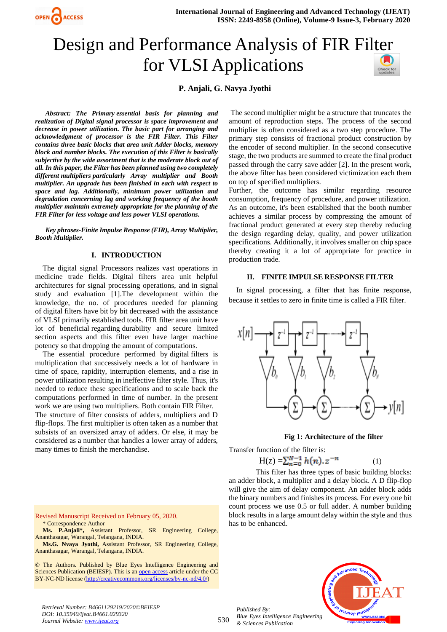

# Design and Performance Analysis of FIR Fi[lter](https://crossmark.crossref.org/dialog/?doi=10.35940/ijeat.B4661.029320&domain=www.ijeat.org)  for VLSI Applications

## **P. Anjali, G. Navya Jyothi**

*Abstract: The Primary essential basis for planning and realization of Digital signal processor is space improvement and decrease in power utilization. The basic part for arranging and acknowledgment of processor is the FIR Filter. This Filter contains three basic blocks that area unit Adder blocks, memory block and number blocks. The execution of this Filter is basically subjective by the wide assortment that is the moderate block out of all. In this paper, the Filter has been planned using two completely different multipliers particularly Array multiplier and Booth multiplier. An upgrade has been finished in each with respect to space and lag. Additionally, minimum power utilization and degradation concerning lag and working frequency of the booth multiplier maintain extremely appropriate for the planning of the FIR Filter for less voltage and less power VLSI operations.*

*Key phrases-Finite Impulse Response (FIR), Array Multiplier, Booth Multiplier.*

#### **I. INTRODUCTION**

The digital signal Processors realizes vast operations in medicine trade fields. Digital filters area unit helpful architectures for signal processing operations, and in signal study and evaluation [1].The development within the knowledge, the no. of procedures needed for planning of digital filters have bit by bit decreased with the assistance of VLSI primarily established tools. FIR filter area unit have lot of beneficial regarding durability and secure limited section aspects and this filter even have larger machine potency so that dropping the amount of computations.

The essential procedure performed by digital filters is multiplication that successively needs a lot of hardware in time of space, rapidity, interruption elements, and a rise in power utilization resulting in ineffective filter style. Thus, it's needed to reduce these specifications and to scale back the computations performed in time of number. In the present work we are using two multipliers. Both contain FIR Filter. The structure of filter consists of adders, multipliers and D flip-flops. The first multiplier is often taken as a number that subsists of an oversized array of adders. Or else, it may be considered as a number that handles a lower array of adders, many times to finish the merchandise.

The second multiplier might be a structure that truncates the amount of reproduction steps. The process of the second multiplier is often considered as a two step procedure. The primary step consists of fractional product construction by the encoder of second multiplier. In the second consecutive stage, the two products are summed to create the final product passed through the carry save adder [2]. In the present work, the above filter has been considered victimization each them on top of specified multipliers.

Further, the outcome has similar regarding resource consumption, frequency of procedure, and power utilization. As an outcome, it's been established that the booth number achieves a similar process by compressing the amount of fractional product generated at every step thereby reducing the design regarding delay, quality, and power utilization specifications. Additionally, it involves smaller on chip space thereby creating it a lot of appropriate for practice in production trade.

## **II. FINITE IMPULSE RESPONSE FILTER**

In signal processing, a filter that has finite response, because it settles to zero in finite time is called a FIR filter.



#### **Fig 1: Architecture of the filter**

Transfer function of the filter is:

$$
H(z) = \sum_{n=0}^{N-1} h(n).z^{-n}
$$
 (1)

This filter has three types of basic building blocks: an adder block, a multiplier and a delay block. A D flip-flop will give the aim of delay component. An adder block adds the binary numbers and finishes its process. For every one bit count process we use 0.5 or full adder. A number building block results in a large amount delay within the style and thus has to be enhanced.

Revised Manuscript Received on February 05, 2020. \* Correspondence Author

**Ms. P.Anjali\*,** Assistant Professor, SR Engineering College, Ananthasagar, Warangal, Telangana, INDIA.

**Ms.G. Nvaya Jyothi,** Assistant Professor, SR Engineering College, Ananthasagar, Warangal, Telangana, INDIA.

© The Authors. Published by Blue Eyes Intelligence Engineering and Sciences Publication (BEIESP). This is a[n open access](https://www.openaccess.nl/en/open-publications) article under the CC BY-NC-ND license [\(http://creativecommons.org/licenses/by-nc-nd/4.0/\)](http://creativecommons.org/licenses/by-nc-nd/4.0/)

*Retrieval Number: B4661129219/2020©BEIESP DOI: 10.35940/ijeat.B4661.029320 Journal Website[: www.ijeat.org](http://www.ijeat.org/)*

530 *Blue Eyes Intelligence Engineering & Sciences Publication* 

*Published By:*

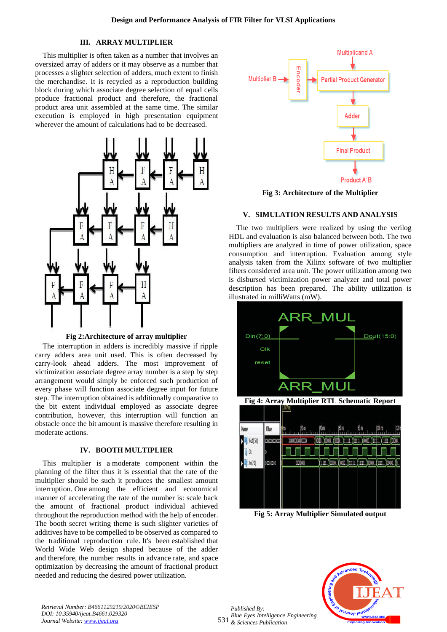## **III. ARRAY MULTIPLIER**

This multiplier is often taken as a number that involves an oversized array of adders or it may observe as a number that processes a slighter selection of adders, much extent to finish the merchandise. It is recycled as a reproduction building block during which associate degree selection of equal cells produce fractional product and therefore, the fractional product area unit assembled at the same time. The similar execution is employed in high presentation equipment wherever the amount of calculations had to be decreased.



**Fig 2:Architecture of array multiplier**

The interruption in adders is incredibly massive if ripple carry adders area unit used. This is often decreased by carry-look ahead adders. The most improvement of victimization associate degree array number is a step by step arrangement would simply be enforced such production of every phase will function associate degree input for future step. The interruption obtained is additionally comparative to the bit extent individual employed as associate degree contribution, however, this interruption will function an obstacle once the bit amount is massive therefore resulting in moderate actions.

## **IV. BOOTH MULTIPLIER**

This multiplier is a moderate component within the planning of the filter thus it is essential that the rate of the multiplier should be such it produces the smallest amount interruption. One among the efficient and economical manner of accelerating the rate of the number is: scale back the amount of fractional product individual achieved throughout the reproduction method with the help of encoder. The booth secret writing theme is such slighter varieties of additives have to be compelled to be observed as compared to the traditional reproduction rule. It's been established that World Wide Web design shaped because of the adder and therefore, the number results in advance rate, and space optimization by decreasing the amount of fractional product needed and reducing the desired power utilization.



**Fig 3: [Architecture](https://www.thesaurus.com/browse/architecture) of the Multiplier**

#### **V. SIMULATION RESULTS AND ANALYSIS**

The two multipliers were realized by using the verilog HDL and evaluation is also balanced between both. The two multipliers are analyzed in time of power utilization, space consumption and interruption. Evaluation among style analysis taken from the Xilinx software of two multiplier filters considered area unit. The power utilization among two is disbursed victimization power analyzer and total power description has been prepared. The ability utilization is illustrated in milliWatts (mW).



**Fig 5: Array Multiplier Simulated output**



*Retrieval Number: B4661129219/2020©BEIESP DOI: 10.35940/ijeat.B4661.029320 Journal Website[: www.ijeat.org](http://www.ijeat.org/)*

531 *& Sciences Publication Published By: Blue Eyes Intelligence Engineering*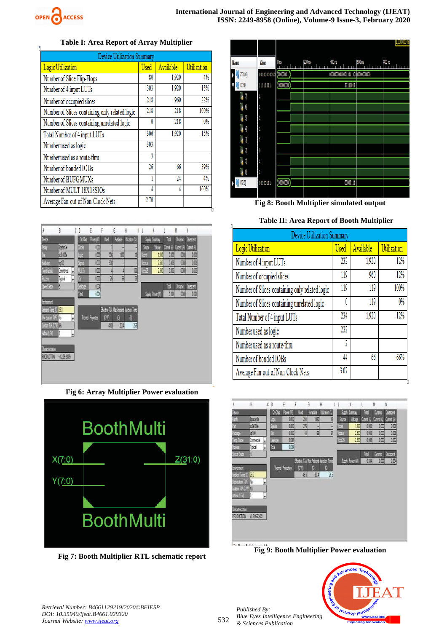

## **Table I: Area Report of Array Multiplier**

| Device Utilization Summary                     |             |           |             |  |  |  |  |
|------------------------------------------------|-------------|-----------|-------------|--|--|--|--|
| Logic Utilization                              | <b>Used</b> | Available | Utilization |  |  |  |  |
| Number of Slice Flip-Flops                     | 80          | 1,920     | 4%          |  |  |  |  |
| Number of 4 input LUTs                         | 303         | 1,920     | 15%         |  |  |  |  |
| Number of occupied slices                      | 218         | 960       | 22%         |  |  |  |  |
| Number of Slices containing only related logic | 218         | 218       | 100%        |  |  |  |  |
| Number of Slices containing unrelated logic    | 0           | 218       | 0%          |  |  |  |  |
| Total Number of 4 input LUTs                   | 306         | 1,920     | 15%         |  |  |  |  |
| Number used as logic                           | 303         |           |             |  |  |  |  |
| Number used as a route-thru                    | 3           |           |             |  |  |  |  |
| Number of bonded IOBs                          | 26          | 66        | 39%         |  |  |  |  |
| Number of BUFGMUXs                             |             | 24        | 4%          |  |  |  |  |
| Number of MULT 18X18SIOs                       | 4           | 4         | 100%        |  |  |  |  |
| Average Fan-out of Non-Clock Nets              | 2.70        |           |             |  |  |  |  |



**Fig 6: Array Multiplier Power evaluation**



**Fig 7: Booth Multiplier RTL schematic report**



**Fig 8: Booth Multiplier simulated output**

## **Table II: Area Report of Booth Multiplier**

| Device Utilization Summary                     |             |           |             |  |  |  |
|------------------------------------------------|-------------|-----------|-------------|--|--|--|
| Logic Utilization                              | <b>Used</b> | Available | Utilization |  |  |  |
| Number of 4 input LUTs                         | 232         | 1,920     | 12%         |  |  |  |
| Number of occupied slices                      | 119         | 960       | 12%         |  |  |  |
| Number of Slices containing only related logic | 119         | 119       | 100%        |  |  |  |
| Number of Slices containing unrelated logic    | 0           | 119       | $0\%$       |  |  |  |
| Total Number of 4 input LUTs                   | 234         | 1,920     | 12%         |  |  |  |
| Number used as logic                           | 232         |           |             |  |  |  |
| Number used as a route-thru                    | 2           |           |             |  |  |  |
| Number of bonded IOBs                          | 44          | 66        | 66%         |  |  |  |
| Average Fan-out of Non-Clock Nets              | 3.07        |           |             |  |  |  |



**Fig 9: Booth Multiplier Power evaluation**



*Published By:*

*& Sciences Publication*